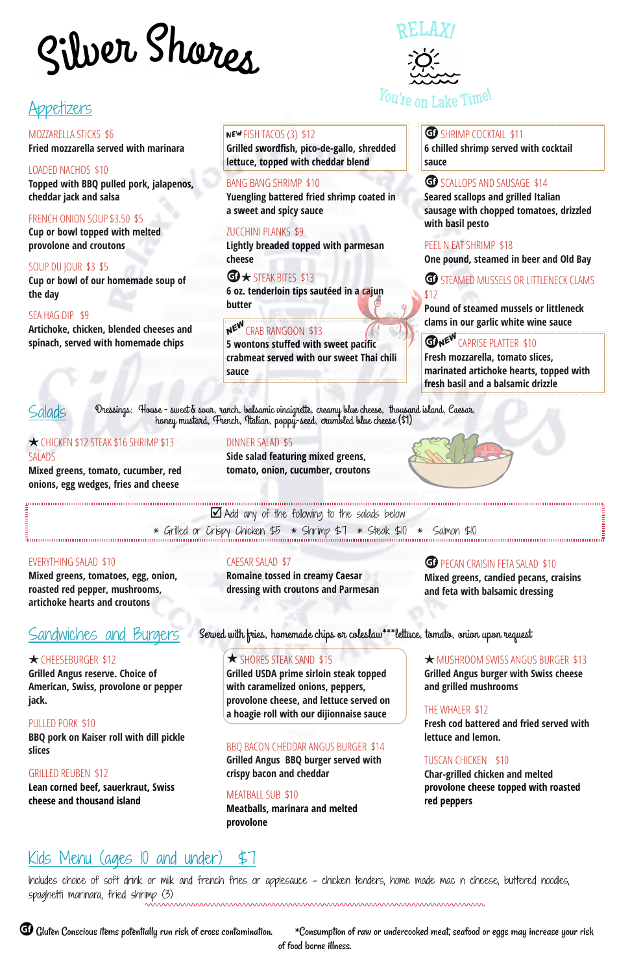## Appetizers

MOZZARELLA STICKS \$6 **Fried mozzarella served with marinara**

**Grilled swordfish, pico-de-gallo, shredded lettuce, topped with cheddar blend sauce** LOADED NACHOS \$10

**6 chilled shrimp served with cocktail**

#### GO SCALLOPS AND SAUSAGE \$14

**Topped with BBQ pulled pork, jalapenos, cheddar jack and salsa**

#### FRENCH ONION SOUP \$3.50 \$5

#### BANG BANG SHRIMP \$10

**Yuengling battered fried shrimp coated in a sweet and spicy sauce**

#### **t** STEAK BITES \$13 **6 oz. tenderloin tips sautéed in a cajun butter**

## NEW CRAB RANGOON \$13

#### **GP** STEAMED MUSSELS OR LITTLENECK CLAMS \$12

**Pound of steamed mussels or littleneck clams in our garlic white wine sauce** 

### **GDNE<sup>W</sup>** CAPRISE PLATTER \$10

**Seared scallops and grilled Italian sausage with chopped tomatoes, drizzled**

**Cup or bowl topped with melted provolone and croutons**

#### ZUCCHINI PLANKS \$9

**Lightly breaded topped with parmesan cheese**

## PEEL N EAT SHRIMP \$18

**Cheese Cheese Cheese Cheese Cheese Cheese Cheese Cheese Cheese Cheese Cheese Cheese Cheese Cheese Cheese Cheese Cheese Cheese Cheese Cheese Cheese Cheese Cheese Cheese Chees** 

**Cup or bowl of our homemade soup of the day**

**GP** PECAN CRAISIN FETA SALAD \$10 **Mixed greens, candied pecans, craisins and feta with balsamic dressing**

**Artichoke, chicken, blended cheeses and spinach, served with homemade chips**

#### NEW FISH TACOS (3) \$12

**5 wontons stuffed with sweet pacific crabmeat served with our sweet Thai chili sauce**

#### G SHRIMP COCKTAIL \$11

**★ MUSHROOM SWISS ANGUS BURGER \$13 Grilled Angus burger with Swiss cheese and grilled mushrooms**

**BBQ pork on Kaiser roll with dill pickle slices** BBQ BACON CHEDDAR ANGUS BURGER \$14 **Fresh mozzarella, tomato slices, marinated artichoke hearts, topped with fresh basil and a balsamic drizzle**

**Lean corned beef, sauerkraut, Swiss cheese and thousand island** MEATBALL SUB \$10



#### §CHICKEN \$12 STEAK \$16 SHRIMP \$13 SALADS

**Mixed greens, tomato, cucumber, red onions, egg wedges, fries and cheese**

unnummunnummunnummunnummunnummunnummun

#### DINNER SALAD \$5

**Side salad featuring mixed greens, tomato, onion, cucumber, croutons**



summunical communications of the salads below and communications of the salads and the salads below and communications of the following to the salads below

 $\frac{1}{2}$   $\frac{1}{2}$   $\frac{1}{2}$   $\frac{1}{2}$   $\frac{1}{2}$   $\frac{1}{2}$   $\frac{1}{2}$   $\frac{1}{2}$   $\frac{1}{2}$   $\frac{1}{2}$   $\frac{1}{2}$   $\frac{1}{2}$   $\frac{1}{2}$   $\frac{1}{2}$   $\frac{1}{2}$   $\frac{1}{2}$   $\frac{1}{2}$   $\frac{1}{2}$   $\frac{1}{2}$   $\frac{1}{2}$   $\frac{1}{2}$   $\frac{1}{2}$ 

G Gluten Conscious items potentially run risk of cross contamination. \*Consumption of raw or undercooked meat, seafood or eggs may increase your risk of food borne illness.

#### EVERYTHING SALAD \$10

**Mixed greens, tomatoes, egg, onion, roasted red pepper, mushrooms, artichoke hearts and croutons**

# SILVE<sup>R</sup> <sup>S</sup>HORE<sup>S</sup> Silve<sup>r</sup> Sh<sup>o</sup>re<sup>s</sup>

#### CAESAR SALAD \$7

**Romaine tossed in creamy Caesar dressing with croutons and Parmesan**

## Sandwiches and Burgers

#### **★**CHEESEBURGER \$12

**Grilled Angus reserve. Choice of American, Swiss, provolone or pepper jack.**

**Grilled USDA prime sirloin steak topped with caramelized onions, peppers, provolone cheese, and lettuce served on a hoagie roll with our dijionnaise sauce**

#### PULLED PORK \$10

**Grilled Angus BBQ burger served with crispy bacon and cheddar**

#### THE WHALER \$12

**Fresh cod battered and fried served with lettuce and lemon.**

#### GRILLED REUBEN \$12

**Meatballs, marinara and melted provolone**

#### TUSCAN CHICKEN \$10

**Char-grilled chicken and melted provolone cheese topped with roasted red peppers**

## Kids Menu (ages 10 and under) \$7

Includes choice of soft drink or milk and french fries or applesauce - chicken tenders, home made mac n cheese, buttered noodles, spaghetti marinara, fried shrimp (3)

Dressings: House - sweet & sour, ranch, balsamic vinaigrette, creamy blue cheese, thousand island, Caesar, honey mustard, French, Italian, poppy-seed, crumbled blue cheese (\$1)

Served with fries, homemade chips or coleslaw\*\*\*lettuce, tomato, onion upon request

#### $\star$  SHORES STEAK SAND \$15

RELAX!

*You're on Lake* Time!